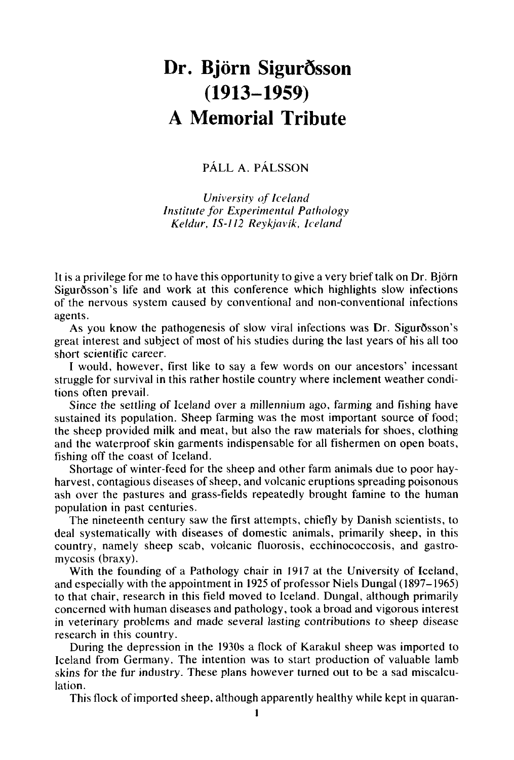## Dr. Björn Sigurðsson **A Memorial Tribute (1913-1959)**

## PALL **A.** PALSSON

*University of Icelond Institute for Expcrimentcil Pathology Keldur, IS-112 Reykjavík, Iceland* 

It is a privilege for me to have this opportunity to give a very brief talk on Dr. Bjorn Sigurðsson's life and work at this conference which highlights slow infections of the nervous system caused by conventional and non-conventional infections agents.

As you know the pathogenesis of slow viral infections was Dr. Sigurðsson's great interest and subject of most of his studies during the last years of his all too short scientific career.

**I** would, however, first like to say a few words on our ancestors' incessant struggle for survival in this rather hostile country where inclement weather conditions often prevail.

Since the settling of Iceland over a millennium ago, farming and fishing have sustained its population. Sheep farming was the most important source of food; the sheep provided milk and meat, but also the raw materials for shoes, clothing and the waterproof skin garments indispensable for all fishermen on open boats, fishing off the coast of Iceland.

Shortage of winter-feed for the sheep and other farm animals due to poor hayharvest, contagious diseases of sheep, and volcanic eruptions spreading poisonous ash over the pastures and grass-fields repeatedly brought famine to the human population in past centuries.

The nineteenth century saw the first attempts, chiefly by Danish scientists, to deal systematically with diseases of domestic animals, primarily sheep, in this country, namely sheep scab, volcanic fluorosis, ecchinococcosis, and gastromycosis (braxy).

With the founding of a Pathology chair in 1917 at the University of Iceland, and especially with the appointment in 1925 of professor Niels Dungal **(1897-1965)**  to that chair, research in this field moved to Iceland. Dungal, although primarily concerned with human diseases and pathology, took a broad and vigorous interest in veterinary problems and made several lasting contributions to sheep disease research in this country.

During the depression in the 1930s **a** flock of Karakul sheep was imported to Iceland from Germany. The intention was to start production of valuable lamb skins for the fur industry. These plans however turned **out** to be a sad miscalculation.

This flock of imported sheep, although apparently healthy while kept in quaran-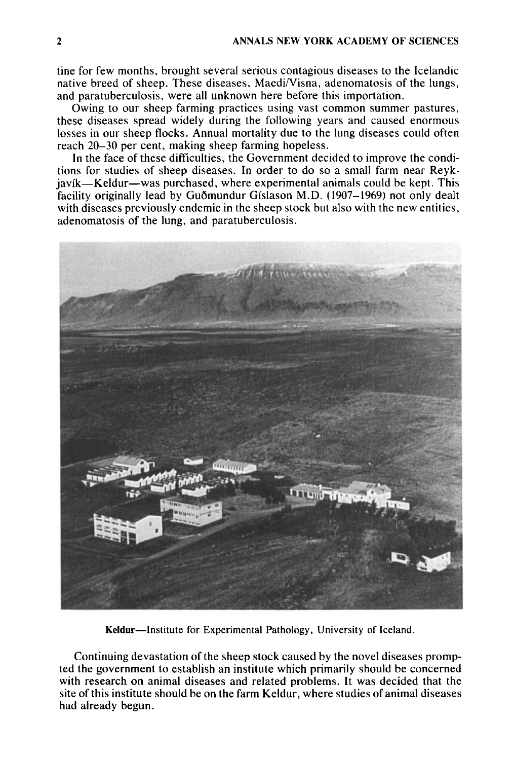tine for few months, brought several serious contagious diseases to the Icelandic native breed of sheep. These diseases, Maedi/Visna, adenomatosis of the lungs, and paratuberculosis, were all unknown here before this importation.

Owing to our sheep farming practices using vast common summer pastures, these diseases spread widely during the following years and caused enormous losses in our sheep flocks. Annual mortality due to the lung diseases could often reach 20-30 per cent, making sheep farming hopeless.

In the face of these difficulties, the Government decided to improve the conditions for studies of sheep diseases. In order to do so a small farm near Reykjavik-Keldur-was purchased, where experimental animals could be kept. This facility originally lead by Guðmundur Gíslason M.D. (1907–1969) not only dealt with diseases previously endemic in the sheep stock but also with the new entities, adenomatosis of the lung, and paratuberculosis.



Keldur-Institute for Experimental Pathology, University of Iceland.

Continuing devastation of the sheep stock caused by the novel diseases prompted the government to establish an institute which primarily should be concerned with research on animal diseases and related problems. It was decided that the site of this institute should be **on** the farm Keldur, where studies of animal diseases had already begun.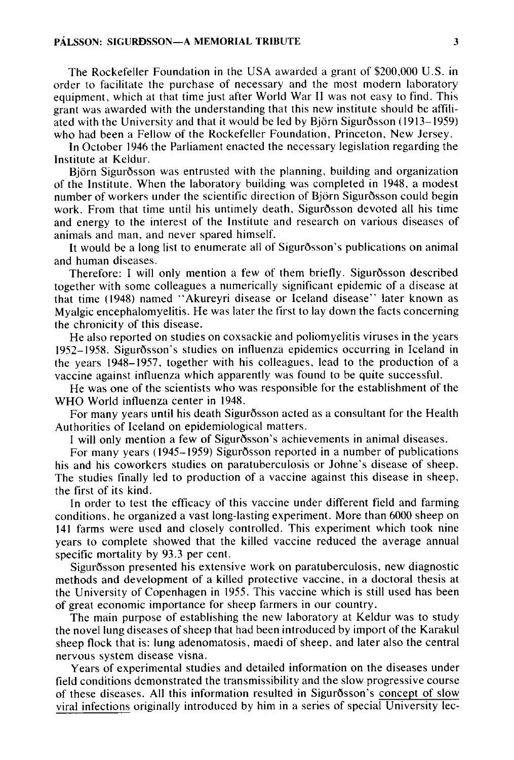The Rockefeller Foundation in the USA awarded a grant of \$200,000 U.S. in order to facilitate the purchase of necessary and the most modern laboratory equipment, which at that time just after World War I1 was not easy to find. This grant was awarded with the understanding that this new institute should be affiliated with the University and that it would be led by Bjorn Sigurdsson (1913-1959) who had been a Fellow of the Rockefeller Foundation, Princeton, New Jersey.

In October 1946 the Parliament enacted the necessary legislation regarding the Institute at Keldur.

Bjorn Sigurdsson was entrusted with the planning, building and organization of the Institute. When the laboratory building was completed in 1948, a modest number of workers under the scientific direction of Bjorn Sigurdsson could begin work. From that time until his untimely death. Sigurdsson devoted all his time and energy to the interest of the Institute and research on various diseases of animals and man, and never spared himself.

It would be a long list to enumerate all of Sigurdsson's publications on animal and human diseases.

Therefore: I will only mention a few of them briefly. Sigurdsson described together with some colleagues a numerically significant epidemic of a disease at that time (1948) named "Akureyri disease or Iceland disease" later known as Myalgic encephalomyelitis. He was later the first to lay down the facts concerning the chronicity of this disease.

He also reported on studies on coxsackie and poliomyelitis viruses in the years 1952- 1958. Sigurdsson's studies on influenza epidemics occurring in Iceland in the years 1948-1957, together with his colleagues, lead to the production of a vaccine against influenza which apparently was found to be quite successful.

He was one of the scientists who was responsible for the establishment of the WHO World influenza center in 1948.

For many years until his death Sigurdsson acted as a consultant for the Health Authorities of Iceland on epidemiological matters.

I will only mention a few of Sigurdsson's achievements in animal diseases.

For many years (1945-1959) Sigurdsson reported in a number of publications his and his coworkers studies on paratuberculosis or Johne's disease **of** sheep. The studies finally led to production of a vaccine against this disease in sheep, the first of its kind.

In order to test the efficacy of this vaccine under different field and farming conditions, he organized a vast long-lasting experiment. More than 6000 sheep on 141 farms were used and closely controlled. This experiment which took nine years to complete showed that the killed vaccine reduced the average annual specific mortality by 93.3 per cent.

Sigurdsson presented his extensive work on paratuberculosis, new diagnostic methods and development of a killed protective vaccine, in a doctoral thesis at the University of Copenhagen in 1955. This vaccine which is still used has been of great economic importance for sheep farmers in our country.

The main purpose of establishing the new laboratory at Keldur was to study the novel lung diseases of sheep that had been introduced by import of the Karakul sheep flock that is: lung adenomatosis, maedi of sheep. and later also the central nervous system disease visna.

Years of experimental studies and detailed information on the diseases under field conditions demonstrated the transmissibility and the slow progressive course of these diseases. All this information resulted in Sigurdsson's concept of slow viral infections originally introduced by him in a series of special University lec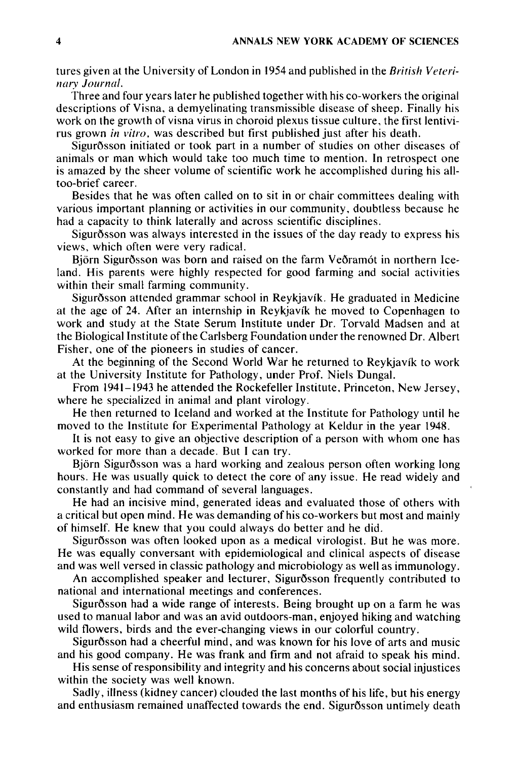tures given at the University of London in **1954** and published in the *British Vrtrrinary Journal.* 

Three and four years later he published together with his co-workers the original descriptions of Visna, a demyelinating transmissible disease of sheep. Finally his work on the growth of visna virus in choroid plexus tissue culture, the first lentivirus grown *in vitro*, was described but first published just after his death.

Sigurðsson initiated or took part in a number of studies on other diseases of animals or man which would take too much time to mention. In retrospect one is amazed by the sheer volume of scientific work he accomplished during his alltoo-brief career.

Besides that he was often called on to sit in or chair committees dealing with various important planning or activities in our community, doubtless because he had a capacity to think laterally and across scientific disciplines.

Sigurdsson was always interested in the issues of the day ready to express his views, which often were very radical.

Bjorn Sigurdsson was born and raised on the farm Vedramot in northern Iceland. His parents were highly respected for good farming and social activities within their small farming community.

Sigurðsson attended grammar school in Reykjavík. He graduated in Medicine at the age of **24.** After an internship in Reykjavik he moved to Copenhagen to work and study at the State Serum Institute under Dr. Torvald Madsen and at the Biological Institute of the Carlsberg Foundation under the renowned Dr. Albert Fisher, one of the pioneers in studies of cancer.

At the beginning of the Second World War he returned to Reykjavik to work at the University Institute for Pathology, under Prof. Niels Dungal.

From **1941-1943** he attended the Rockefeller Institute, Princeton, New Jersey, where he specialized in animal and plant virology.

He then returned to Iceland and worked at the Institute for Pathology until he moved to the Institute for Experimental Pathology at Keldur in the year **1948.** 

It is not easy to give an objective description of a person with whom one has worked for more than a decade. But I can try.

Bjorn Sigurdsson was a hard working and zealous person often working long hours. He was usually quick to detect the core of any issue. He read widely and constantly and had command of several languages.

He had an incisive mind, generated ideas and evaluated those of others with a critical but open mind. He was demanding of his co-workers but most and mainly of himself. He knew that you could always do better and he did.

Sigurðsson was often looked upon as a medical virologist. But he was more. He was equally conversant with epidemiological and clinical aspects of disease and was well versed in classic pathology and microbiology as well as immunology.

An accomplished speaker and lecturer, Sigurdsson frequently contributed to national and international meetings and conferences.

Sigurdsson had a wide range of interests. Being brought up on a farm he was used to manual labor and was an avid outdoors-man, enjoyed hiking and watching wild flowers, birds and the ever-changing views in our colorful country.

Sigurðsson had a cheerful mind, and was known for his love of arts and music and his good company. He was frank and firm and not afraid to speak his mind.

His sense of responsibility and integrity and his concerns about social injustices within the society was well known.

Sadly, illness (kidney cancer) clouded the last months of his life, but his energy and enthusiasm remained unaffected towards the end. Sigurosson untimely death